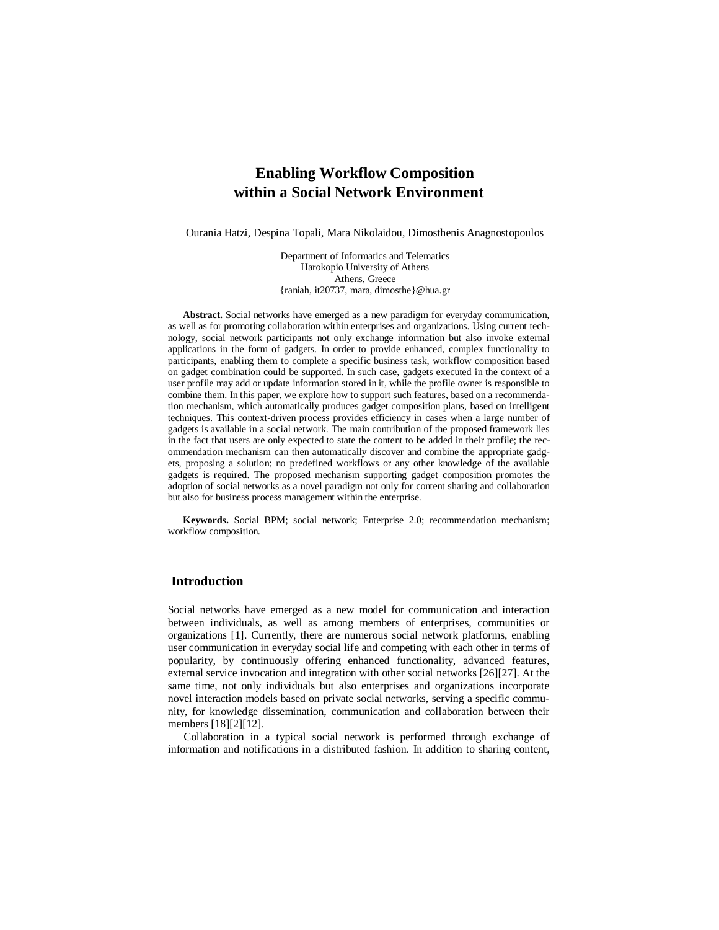# **Enabling Workflow Composition within a Social Network Environment**

Ourania Hatzi, Despina Topali, Mara Nikolaidou, Dimosthenis Anagnostopoulos

Department of Informatics and Telematics Harokopio University of Athens Athens, Greece {raniah, it20737, mara, dimosthe}@hua.gr

**Abstract.** Social networks have emerged as a new paradigm for everyday communication, as well as for promoting collaboration within enterprises and organizations. Using current technology, social network participants not only exchange information but also invoke external applications in the form of gadgets. In order to provide enhanced, complex functionality to participants, enabling them to complete a specific business task, workflow composition based on gadget combination could be supported. In such case, gadgets executed in the context of a user profile may add or update information stored in it, while the profile owner is responsible to combine them. In this paper, we explore how to support such features, based on a recommendation mechanism, which automatically produces gadget composition plans, based on intelligent techniques. This context-driven process provides efficiency in cases when a large number of gadgets is available in a social network. The main contribution of the proposed framework lies in the fact that users are only expected to state the content to be added in their profile; the recommendation mechanism can then automatically discover and combine the appropriate gadgets, proposing a solution; no predefined workflows or any other knowledge of the available gadgets is required. The proposed mechanism supporting gadget composition promotes the adoption of social networks as a novel paradigm not only for content sharing and collaboration but also for business process management within the enterprise.

**Keywords.** Social BPM; social network; Enterprise 2.0; recommendation mechanism; workflow composition.

# **Introduction**

Social networks have emerged as a new model for communication and interaction between individuals, as well as among members of enterprises, communities or organizations [1]. Currently, there are numerous social network platforms, enabling user communication in everyday social life and competing with each other in terms of popularity, by continuously offering enhanced functionality, advanced features, external service invocation and integration with other social networks [26][27]. At the same time, not only individuals but also enterprises and organizations incorporate novel interaction models based on private social networks, serving a specific community, for knowledge dissemination, communication and collaboration between their members [18][2][12].

Collaboration in a typical social network is performed through exchange of information and notifications in a distributed fashion. In addition to sharing content,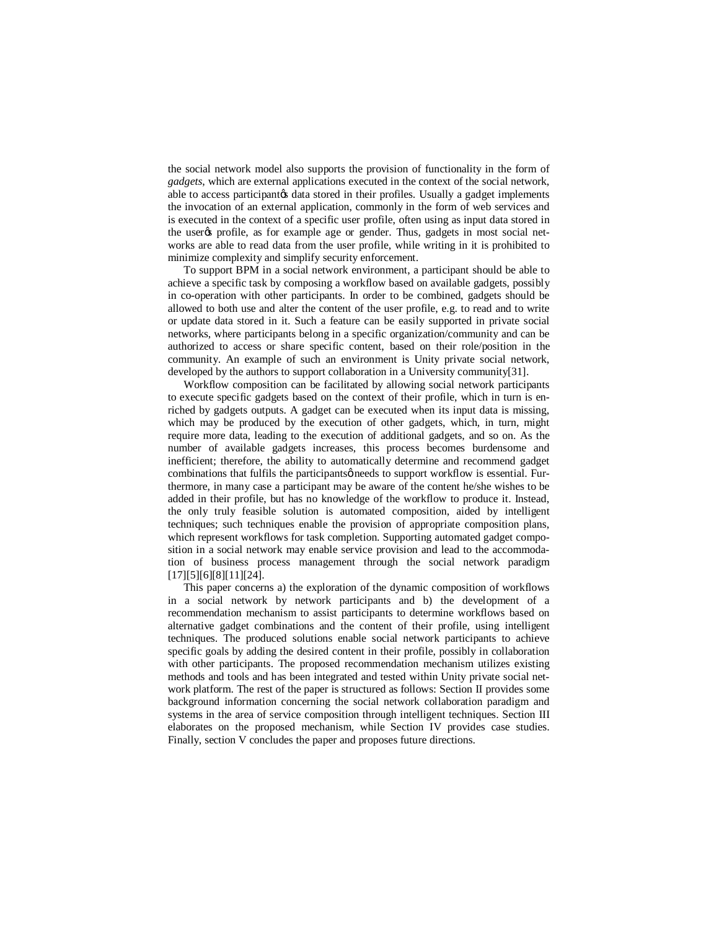the social network model also supports the provision of functionality in the form of *gadgets*, which are external applications executed in the context of the social network, able to access participantøs data stored in their profiles. Usually a gadget implements the invocation of an external application, commonly in the form of web services and is executed in the context of a specific user profile, often using as input data stored in the user of profile, as for example age or gender. Thus, gadgets in most social networks are able to read data from the user profile, while writing in it is prohibited to minimize complexity and simplify security enforcement.

To support BPM in a social network environment, a participant should be able to achieve a specific task by composing a workflow based on available gadgets, possibly in co-operation with other participants. In order to be combined, gadgets should be allowed to both use and alter the content of the user profile, e.g. to read and to write or update data stored in it. Such a feature can be easily supported in private social networks, where participants belong in a specific organization/community and can be authorized to access or share specific content, based on their role/position in the community. An example of such an environment is Unity private social network, developed by the authors to support collaboration in a University community[31].

Workflow composition can be facilitated by allowing social network participants to execute specific gadgets based on the context of their profile, which in turn is enriched by gadgets outputs. A gadget can be executed when its input data is missing, which may be produced by the execution of other gadgets, which, in turn, might require more data, leading to the execution of additional gadgets, and so on. As the number of available gadgets increases, this process becomes burdensome and inefficient; therefore, the ability to automatically determine and recommend gadget combinations that fulfils the participants q needs to support workflow is essential. Furthermore, in many case a participant may be aware of the content he/she wishes to be added in their profile, but has no knowledge of the workflow to produce it. Instead, the only truly feasible solution is automated composition, aided by intelligent techniques; such techniques enable the provision of appropriate composition plans, which represent workflows for task completion. Supporting automated gadget composition in a social network may enable service provision and lead to the accommodation of business process management through the social network paradigm [17][5][6][8][11][24].

This paper concerns a) the exploration of the dynamic composition of workflows in a social network by network participants and b) the development of a recommendation mechanism to assist participants to determine workflows based on alternative gadget combinations and the content of their profile, using intelligent techniques. The produced solutions enable social network participants to achieve specific goals by adding the desired content in their profile, possibly in collaboration with other participants. The proposed recommendation mechanism utilizes existing methods and tools and has been integrated and tested within Unity private social network platform. The rest of the paper is structured as follows: Section II provides some background information concerning the social network collaboration paradigm and systems in the area of service composition through intelligent techniques. Section III elaborates on the proposed mechanism, while Section IV provides case studies. Finally, section V concludes the paper and proposes future directions.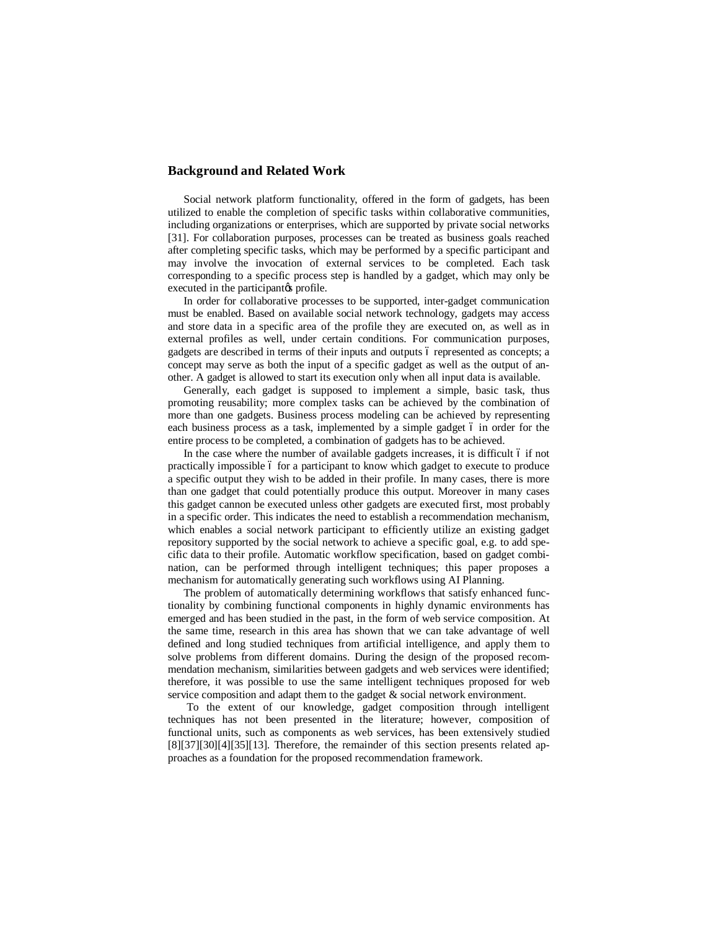### **Background and Related Work**

Social network platform functionality, offered in the form of gadgets, has been utilized to enable the completion of specific tasks within collaborative communities, including organizations or enterprises, which are supported by private social networks [31]. For collaboration purposes, processes can be treated as business goals reached after completing specific tasks, which may be performed by a specific participant and may involve the invocation of external services to be completed. Each task corresponding to a specific process step is handled by a gadget, which may only be executed in the participant  $\alpha$  profile.

In order for collaborative processes to be supported, inter-gadget communication must be enabled. Based on available social network technology, gadgets may access and store data in a specific area of the profile they are executed on, as well as in external profiles as well, under certain conditions. For communication purposes, gadgets are described in terms of their inputs and outputs of represented as concepts; a concept may serve as both the input of a specific gadget as well as the output of another. A gadget is allowed to start its execution only when all input data is available.

Generally, each gadget is supposed to implement a simple, basic task, thus promoting reusability; more complex tasks can be achieved by the combination of more than one gadgets. Business process modeling can be achieved by representing each business process as a task, implemented by a simple gadget 6 in order for the entire process to be completed, a combination of gadgets has to be achieved.

In the case where the number of available gadgets increases, it is difficult 6 if not practically impossible 6 for a participant to know which gadget to execute to produce a specific output they wish to be added in their profile. In many cases, there is more than one gadget that could potentially produce this output. Moreover in many cases this gadget cannon be executed unless other gadgets are executed first, most probably in a specific order. This indicates the need to establish a recommendation mechanism, which enables a social network participant to efficiently utilize an existing gadget repository supported by the social network to achieve a specific goal, e.g. to add specific data to their profile. Automatic workflow specification, based on gadget combination, can be performed through intelligent techniques; this paper proposes a mechanism for automatically generating such workflows using AI Planning.

The problem of automatically determining workflows that satisfy enhanced functionality by combining functional components in highly dynamic environments has emerged and has been studied in the past, in the form of web service composition. At the same time, research in this area has shown that we can take advantage of well defined and long studied techniques from artificial intelligence, and apply them to solve problems from different domains. During the design of the proposed recommendation mechanism, similarities between gadgets and web services were identified; therefore, it was possible to use the same intelligent techniques proposed for web service composition and adapt them to the gadget & social network environment.

To the extent of our knowledge, gadget composition through intelligent techniques has not been presented in the literature; however, composition of functional units, such as components as web services, has been extensively studied [8][37][30][4][35][13]. Therefore, the remainder of this section presents related approaches as a foundation for the proposed recommendation framework.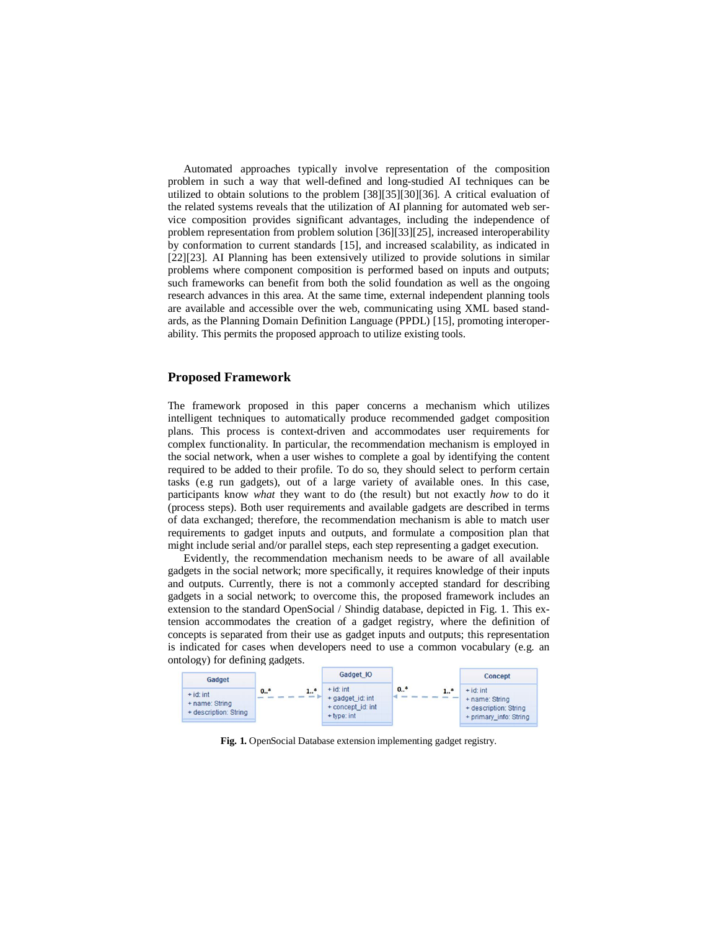Automated approaches typically involve representation of the composition problem in such a way that well-defined and long-studied AI techniques can be utilized to obtain solutions to the problem [38][35][30][36]. A critical evaluation of the related systems reveals that the utilization of AI planning for automated web service composition provides significant advantages, including the independence of problem representation from problem solution [36][33][25], increased interoperability by conformation to current standards [15], and increased scalability, as indicated in [22][23]. AI Planning has been extensively utilized to provide solutions in similar problems where component composition is performed based on inputs and outputs; such frameworks can benefit from both the solid foundation as well as the ongoing research advances in this area. At the same time, external independent planning tools are available and accessible over the web, communicating using XML based standards, as the Planning Domain Definition Language (PPDL) [15], promoting interoperability. This permits the proposed approach to utilize existing tools.

#### **Proposed Framework**

The framework proposed in this paper concerns a mechanism which utilizes intelligent techniques to automatically produce recommended gadget composition plans. This process is context-driven and accommodates user requirements for complex functionality. In particular, the recommendation mechanism is employed in the social network, when a user wishes to complete a goal by identifying the content required to be added to their profile. To do so, they should select to perform certain tasks (e.g run gadgets), out of a large variety of available ones. In this case, participants know *what* they want to do (the result) but not exactly *how* to do it (process steps). Both user requirements and available gadgets are described in terms of data exchanged; therefore, the recommendation mechanism is able to match user requirements to gadget inputs and outputs, and formulate a composition plan that might include serial and/or parallel steps, each step representing a gadget execution.

Evidently, the recommendation mechanism needs to be aware of all available gadgets in the social network; more specifically, it requires knowledge of their inputs and outputs. Currently, there is not a commonly accepted standard for describing gadgets in a social network; to overcome this, the proposed framework includes an extension to the standard OpenSocial / Shindig database, depicted in Fig. 1. This extension accommodates the creation of a gadget registry, where the definition of concepts is separated from their use as gadget inputs and outputs; this representation is indicated for cases when developers need to use a common vocabulary (e.g. an ontology) for defining gadgets.



**Fig. 1.** OpenSocial Database extension implementing gadget registry.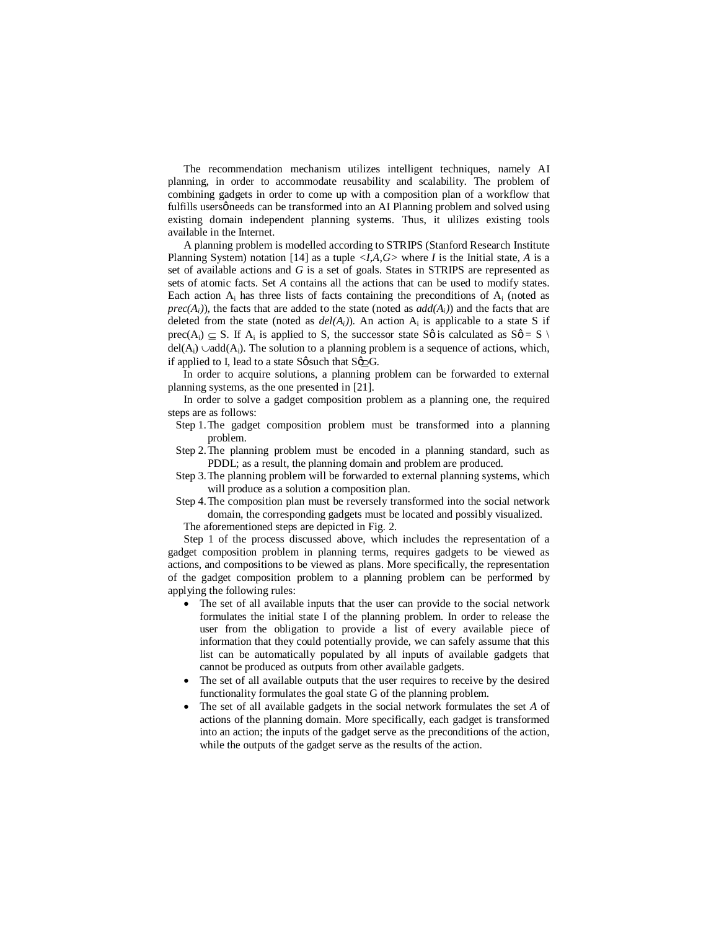The recommendation mechanism utilizes intelligent techniques, namely AI planning, in order to accommodate reusability and scalability. The problem of combining gadgets in order to come up with a composition plan of a workflow that fulfills usersø needs can be transformed into an AI Planning problem and solved using existing domain independent planning systems. Thus, it ulilizes existing tools available in the Internet.

A planning problem is modelled according to STRIPS (Stanford Research Institute Planning System) notation [14] as a tuple  $\langle I, A, G \rangle$  where *I* is the Initial state, *A* is a set of available actions and *G* is a set of goals. States in STRIPS are represented as sets of atomic facts. Set *A* contains all the actions that can be used to modify states. Each action  $A_i$  has three lists of facts containing the preconditions of  $A_i$  (noted as  $prec(A_i)$ , the facts that are added to the state (noted as  $add(A_i)$ ) and the facts that are deleted from the state (noted as  $del(A_i)$ ). An action  $A_i$  is applicable to a state S if prec(A<sub>i</sub>)  $\subset$  S. If A<sub>i</sub> is applied to S, the successor state S $\emptyset$  is calculated as S $\emptyset = S \setminus$  $del(A<sub>i</sub>) \cup add(A<sub>i</sub>)$ . The solution to a planning problem is a sequence of actions, which, if applied to I, lead to a state Sø such that  $S \nsubseteq G$ .

In order to acquire solutions, a planning problem can be forwarded to external planning systems, as the one presented in [21].

In order to solve a gadget composition problem as a planning one, the required steps are as follows:

- Step 1.The gadget composition problem must be transformed into a planning problem.
- Step 2.The planning problem must be encoded in a planning standard, such as PDDL; as a result, the planning domain and problem are produced.
- Step 3.The planning problem will be forwarded to external planning systems, which will produce as a solution a composition plan.
- Step 4.The composition plan must be reversely transformed into the social network domain, the corresponding gadgets must be located and possibly visualized.

The aforementioned steps are depicted in Fig. 2.

Step 1 of the process discussed above, which includes the representation of a gadget composition problem in planning terms, requires gadgets to be viewed as actions, and compositions to be viewed as plans. More specifically, the representation of the gadget composition problem to a planning problem can be performed by applying the following rules:

- · The set of all available inputs that the user can provide to the social network formulates the initial state I of the planning problem. In order to release the user from the obligation to provide a list of every available piece of information that they could potentially provide, we can safely assume that this list can be automatically populated by all inputs of available gadgets that cannot be produced as outputs from other available gadgets.
- The set of all available outputs that the user requires to receive by the desired functionality formulates the goal state G of the planning problem.
- The set of all available gadgets in the social network formulates the set *A* of actions of the planning domain. More specifically, each gadget is transformed into an action; the inputs of the gadget serve as the preconditions of the action, while the outputs of the gadget serve as the results of the action.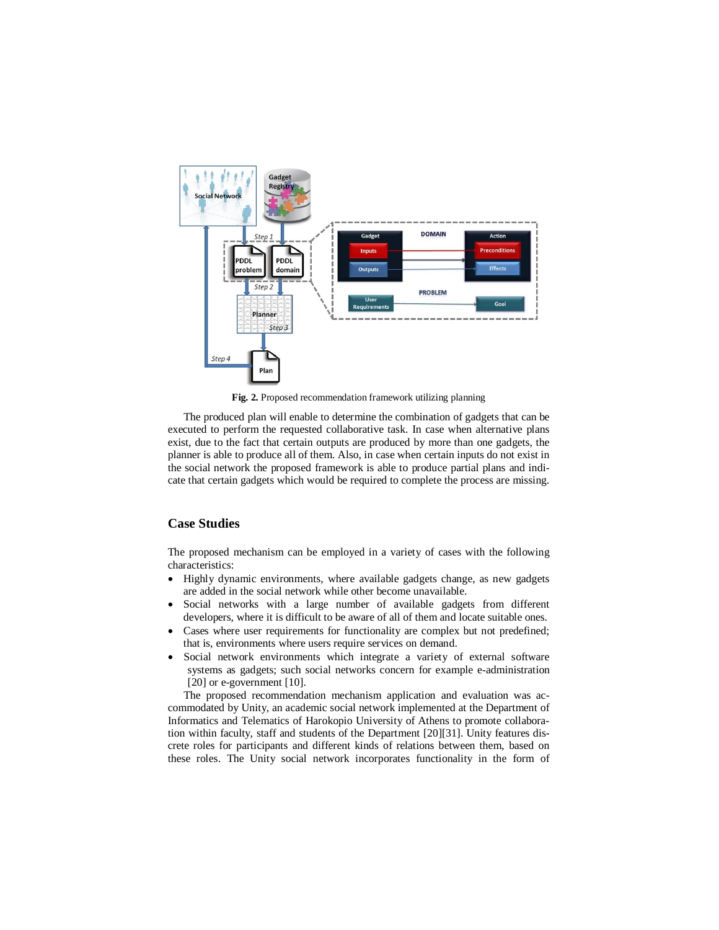

**Fig. 2.** Proposed recommendation framework utilizing planning

The produced plan will enable to determine the combination of gadgets that can be executed to perform the requested collaborative task. In case when alternative plans exist, due to the fact that certain outputs are produced by more than one gadgets, the planner is able to produce all of them. Also, in case when certain inputs do not exist in the social network the proposed framework is able to produce partial plans and indicate that certain gadgets which would be required to complete the process are missing.

## **Case Studies**

The proposed mechanism can be employed in a variety of cases with the following characteristics:

- · Highly dynamic environments, where available gadgets change, as new gadgets are added in the social network while other become unavailable.
- · Social networks with a large number of available gadgets from different developers, where it is difficult to be aware of all of them and locate suitable ones.
- · Cases where user requirements for functionality are complex but not predefined; that is, environments where users require services on demand.
- · Social network environments which integrate a variety of external software systems as gadgets; such social networks concern for example e-administration [20] or e-government [10].

The proposed recommendation mechanism application and evaluation was accommodated by Unity, an academic social network implemented at the Department of Informatics and Telematics of Harokopio University of Athens to promote collaboration within faculty, staff and students of the Department [20][31]. Unity features discrete roles for participants and different kinds of relations between them, based on these roles. The Unity social network incorporates functionality in the form of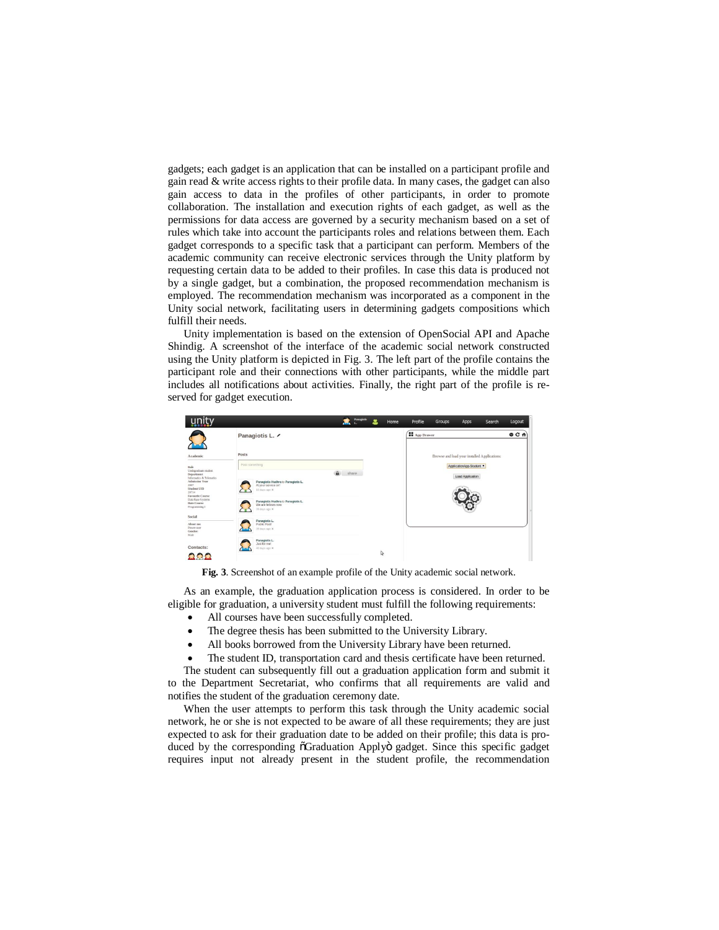gadgets; each gadget is an application that can be installed on a participant profile and gain read & write access rights to their profile data. In many cases, the gadget can also gain access to data in the profiles of other participants, in order to promote collaboration. The installation and execution rights of each gadget, as well as the permissions for data access are governed by a security mechanism based on a set of rules which take into account the participants roles and relations between them. Each gadget corresponds to a specific task that a participant can perform. Members of the academic community can receive electronic services through the Unity platform by requesting certain data to be added to their profiles. In case this data is produced not by a single gadget, but a combination, the proposed recommendation mechanism is employed. The recommendation mechanism was incorporated as a component in the Unity social network, facilitating users in determining gadgets compositions which fulfill their needs.

Unity implementation is based on the extension of OpenSocial API and Apache Shindig. A screenshot of the interface of the academic social network constructed using the Unity platform is depicted in Fig. 3. The left part of the profile contains the participant role and their connections with other participants, while the middle part includes all notifications about activities. Finally, the right part of the profile is reserved for gadget execution.

| <b>unity</b>                                                                                                                                                                                      | <b>All Card</b>                                                             | <b>Panagiotis</b><br>9 | Home | Profile             | Groups | Apps                                         | Search | Logout |
|---------------------------------------------------------------------------------------------------------------------------------------------------------------------------------------------------|-----------------------------------------------------------------------------|------------------------|------|---------------------|--------|----------------------------------------------|--------|--------|
|                                                                                                                                                                                                   | Panagiotis L. /                                                             |                        |      | <b>H</b> App Drawer |        |                                              |        | O C f  |
| Academic                                                                                                                                                                                          | Posts                                                                       |                        |      |                     |        | Browse and load your installed Applications: |        |        |
| Rele<br>Undegraduate student<br>Department<br>Informatics & Telematics<br>Admission Year<br>2007<br>Student UID<br>20714<br>Favourite Course<br>Data Base Systems<br>Hate Course<br>Programming I | Post something<br>$\mathbf{a}$<br>share                                     |                        |      |                     |        | ApplicationApp-Student<br>Load Application   |        |        |
|                                                                                                                                                                                                   | Panagiotis Hudhra to Panagiotis L.<br>At your service sirl<br>10 days ago X |                        |      |                     |        |                                              |        |        |
|                                                                                                                                                                                                   | Panagiotis Hudhra to Panagiotis L.<br>We are fellows now<br>39 days ago X   |                        |      |                     |        |                                              |        |        |
| Social<br>About me:<br>Power-user<br>Gender:<br>Male                                                                                                                                              | Panagiotis L.<br>Public Posti<br>39 days ago X                              |                        |      |                     |        |                                              |        |        |
| Contacts:                                                                                                                                                                                         | Panagiotis L.<br>Just for me!<br>40 days ago X                              |                        |      |                     |        |                                              |        |        |
| <b>QAO</b>                                                                                                                                                                                        |                                                                             | I)                     |      |                     |        |                                              |        |        |

**Fig. 3**. Screenshot of an example profile of the Unity academic social network.

As an example, the graduation application process is considered. In order to be eligible for graduation, a university student must fulfill the following requirements:

- · All courses have been successfully completed.
- The degree thesis has been submitted to the University Library.
- All books borrowed from the University Library have been returned.
- The student ID, transportation card and thesis certificate have been returned.

The student can subsequently fill out a graduation application form and submit it to the Department Secretariat, who confirms that all requirements are valid and notifies the student of the graduation ceremony date.

When the user attempts to perform this task through the Unity academic social network, he or she is not expected to be aware of all these requirements; they are just expected to ask for their graduation date to be added on their profile; this data is produced by the corresponding  $\delta$ Graduation Apply $\delta$  gadget. Since this specific gadget requires input not already present in the student profile, the recommendation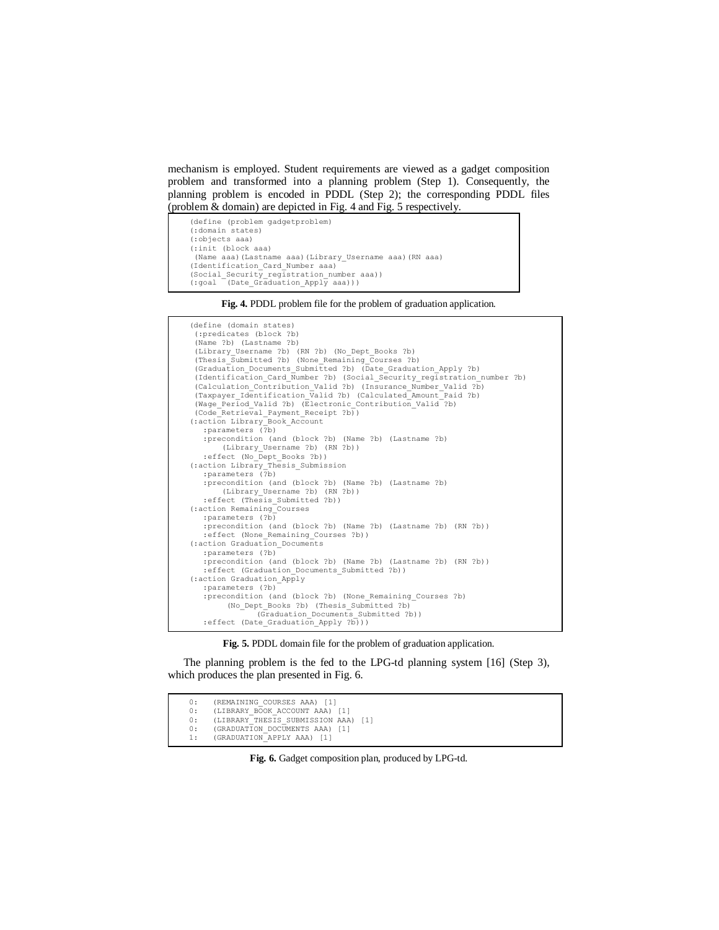mechanism is employed. Student requirements are viewed as a gadget composition problem and transformed into a planning problem (Step 1). Consequently, the planning problem is encoded in PDDL (Step 2); the corresponding PDDL files (problem & domain) are depicted in Fig. 4 and Fig. 5 respectively.

```
(define (problem gadgetproblem)
(:domain states)
(:objects aaa)
(:init (block aaa)
(Name aaa)(Lastname aaa)(Library_Username aaa)(RN aaa)
(Identification_Card_Number aaa)
(Social_Security_registration_number aaa))
(:goal (Date_Graduation_Apply aaa)))
```




**Fig. 5.** PDDL domain file for the problem of graduation application.

The planning problem is the fed to the LPG-td planning system [16] (Step 3), which produces the plan presented in Fig. 6.

```
0: (REMAINING_COURSES AAA) [1]<br>0: (LIBRARY BOOK ACCOUNT AAA)
0: (LIBRARY_BOOK_ACCOUNT AAA) [1]<br>0: (LIBRARY_THESTS_SUBMISSION_AAA)
0: (LIBRARY_THESIS_SUBMISSION AAA) [1]<br>0: (GRADUATION DOCUMENTS AAA) [1]
..<br>0: (GRADUATION_DOCUMENTS AAA) [1]<br>1: (GRADUATION_APPLY AAA) [1]
         1: (GRADUATION_APPLY AAA) [1]
```
**Fig. 6.** Gadget composition plan, produced by LPG-td.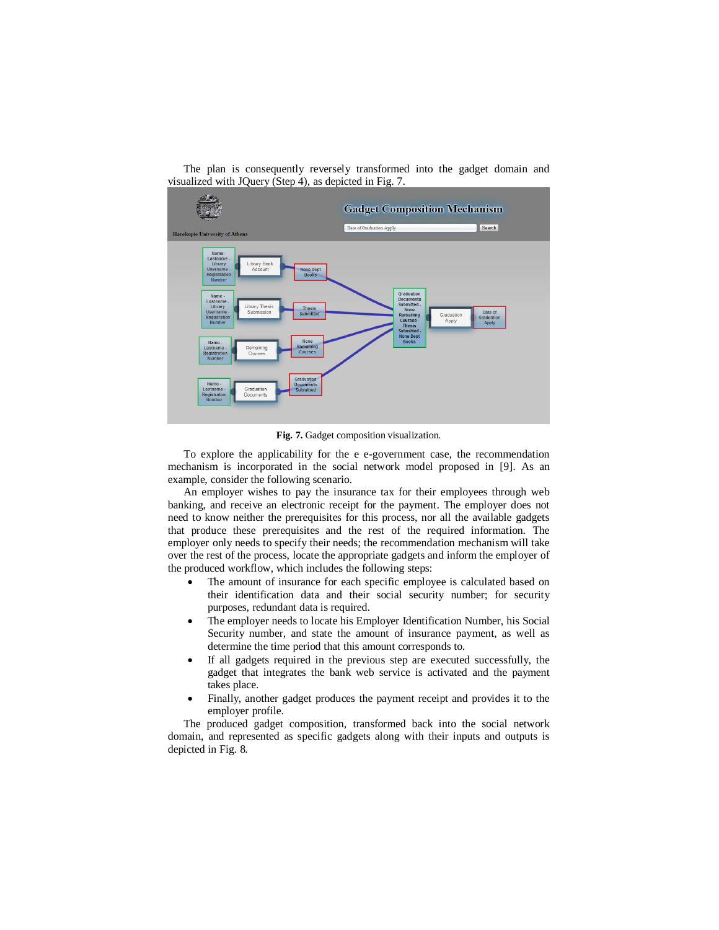

The plan is consequently reversely transformed into the gadget domain and visualized with JQuery (Step 4), as depicted in Fig. 7.

**Fig. 7.** Gadget composition visualization.

To explore the applicability for the e e-government case, the recommendation mechanism is incorporated in the social network model proposed in [9]. As an example, consider the following scenario.

An employer wishes to pay the insurance tax for their employees through web banking, and receive an electronic receipt for the payment. The employer does not need to know neither the prerequisites for this process, nor all the available gadgets that produce these prerequisites and the rest of the required information. The employer only needs to specify their needs; the recommendation mechanism will take over the rest of the process, locate the appropriate gadgets and inform the employer of the produced workflow, which includes the following steps:

- The amount of insurance for each specific employee is calculated based on their identification data and their social security number; for security purposes, redundant data is required.
- · The employer needs to locate his Employer Identification Number, his Social Security number, and state the amount of insurance payment, as well as determine the time period that this amount corresponds to.
- · If all gadgets required in the previous step are executed successfully, the gadget that integrates the bank web service is activated and the payment takes place.
- Finally, another gadget produces the payment receipt and provides it to the employer profile.

The produced gadget composition, transformed back into the social network domain, and represented as specific gadgets along with their inputs and outputs is depicted in Fig. 8.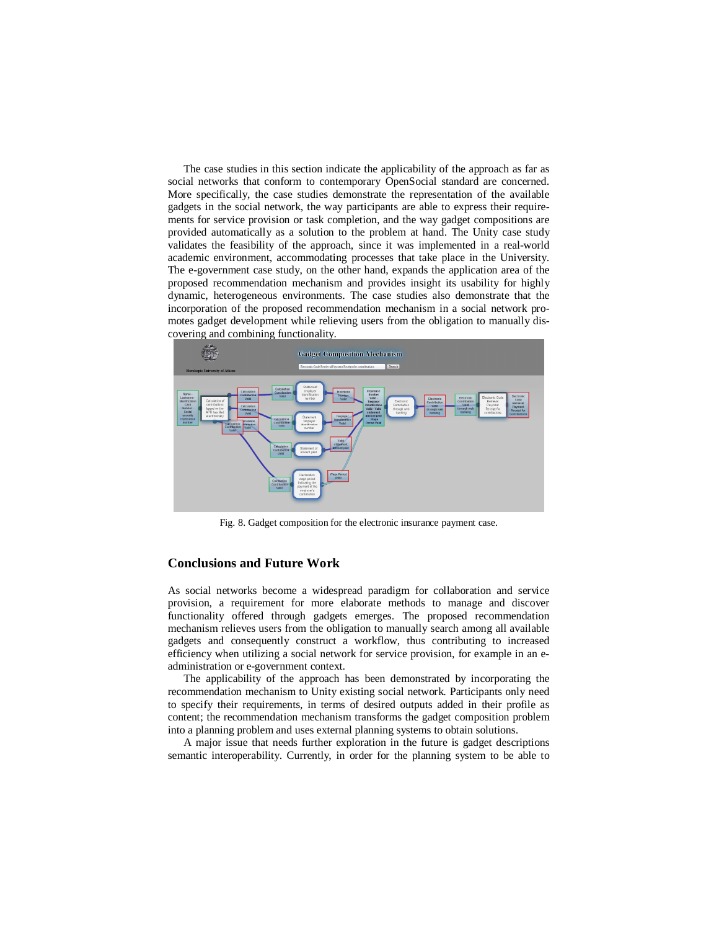The case studies in this section indicate the applicability of the approach as far as social networks that conform to contemporary OpenSocial standard are concerned. More specifically, the case studies demonstrate the representation of the available gadgets in the social network, the way participants are able to express their requirements for service provision or task completion, and the way gadget compositions are provided automatically as a solution to the problem at hand. The Unity case study validates the feasibility of the approach, since it was implemented in a real-world academic environment, accommodating processes that take place in the University. The e-government case study, on the other hand, expands the application area of the proposed recommendation mechanism and provides insight its usability for highly dynamic, heterogeneous environments. The case studies also demonstrate that the incorporation of the proposed recommendation mechanism in a social network promotes gadget development while relieving users from the obligation to manually discovering and combining functionality.



Fig. 8. Gadget composition for the electronic insurance payment case.

### **Conclusions and Future Work**

As social networks become a widespread paradigm for collaboration and service provision, a requirement for more elaborate methods to manage and discover functionality offered through gadgets emerges. The proposed recommendation mechanism relieves users from the obligation to manually search among all available gadgets and consequently construct a workflow, thus contributing to increased efficiency when utilizing a social network for service provision, for example in an eadministration or e-government context.

The applicability of the approach has been demonstrated by incorporating the recommendation mechanism to Unity existing social network. Participants only need to specify their requirements, in terms of desired outputs added in their profile as content; the recommendation mechanism transforms the gadget composition problem into a planning problem and uses external planning systems to obtain solutions.

A major issue that needs further exploration in the future is gadget descriptions semantic interoperability. Currently, in order for the planning system to be able to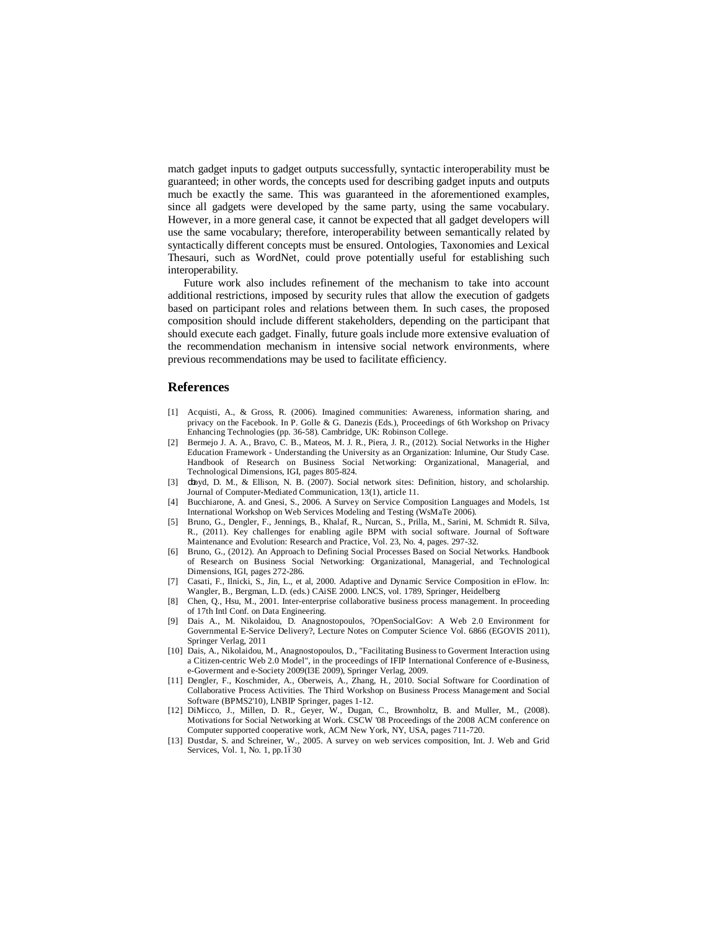match gadget inputs to gadget outputs successfully, syntactic interoperability must be guaranteed; in other words, the concepts used for describing gadget inputs and outputs much be exactly the same. This was guaranteed in the aforementioned examples, since all gadgets were developed by the same party, using the same vocabulary. However, in a more general case, it cannot be expected that all gadget developers will use the same vocabulary; therefore, interoperability between semantically related by syntactically different concepts must be ensured. Ontologies, Taxonomies and Lexical Thesauri, such as WordNet, could prove potentially useful for establishing such interoperability.

Future work also includes refinement of the mechanism to take into account additional restrictions, imposed by security rules that allow the execution of gadgets based on participant roles and relations between them. In such cases, the proposed composition should include different stakeholders, depending on the participant that should execute each gadget. Finally, future goals include more extensive evaluation of the recommendation mechanism in intensive social network environments, where previous recommendations may be used to facilitate efficiency.

#### **References**

- [1] Acquisti, A., & Gross, R. (2006). Imagined communities: Awareness, information sharing, and privacy on the Facebook. In P. Golle & G. Danezis (Eds.), Proceedings of 6th Workshop on Privacy Enhancing Technologies (pp. 36-58). Cambridge, UK: Robinson College.
- [2] Bermejo J. A. A., Bravo, C. B., Mateos, M. J. R., Piera, J. R., (2012). Social Networks in the Higher Education Framework - Understanding the University as an Organization: Inlumine, Our Study Case. Handbook of Research on Business Social Networking: Organizational, Managerial, and Technological Dimensions, IGI, pages 805-824.
- [3] oyd, D. M., & Ellison, N. B. (2007). Social network sites: Definition, history, and scholarship. Journal of Computer-Mediated Communication, 13(1), article 11.
- Bucchiarone, A. and Gnesi, S., 2006. A Survey on Service Composition Languages and Models, 1st International Workshop on Web Services Modeling and Testing (WsMaTe 2006).
- [5] Bruno, G., Dengler, F., Jennings, B., Khalaf, R., Nurcan, S., Prilla, M., Sarini, M. Schmidt R. Silva, R., (2011). Key challenges for enabling agile BPM with social software. Journal of Software Maintenance and Evolution: Research and Practice, Vol. 23, No. 4, pages. 297-32.
- [6] Bruno, G., (2012). An Approach to Defining Social Processes Based on Social Networks. Handbook of Research on Business Social Networking: Organizational, Managerial, and Technological Dimensions, IGI, pages 272-286.
- [7] Casati, F., Ilnicki, S., Jin, L., et al, 2000. Adaptive and Dynamic Service Composition in eFlow. In: Wangler, B., Bergman, L.D. (eds.) CAiSE 2000. LNCS, vol. 1789, Springer, Heidelberg
- [8] Chen, Q., Hsu, M., 2001. Inter-enterprise collaborative business process management. In proceeding of 17th Intl Conf. on Data Engineering.
- [9] Dais A., M. Nikolaidou, D. Anagnostopoulos, ?OpenSocialGov: A Web 2.0 Environment for Governmental E-Service Delivery?, Lecture Notes on Computer Science Vol. 6866 (EGOVIS 2011), Springer Verlag, 2011
- [10] Dais, A., Nikolaidou, M., Anagnostopoulos, D., "Facilitating Business to Goverment Interaction using a Citizen-centric Web 2.0 Model", in the proceedings of IFIP International Conference of e-Business, e-Goverment and e-Society 2009(I3E 2009), Springer Verlag, 2009.
- [11] Dengler, F., Koschmider, A., Oberweis, A., Zhang, H., 2010. Social Software for Coordination of Collaborative Process Activities. The Third Workshop on Business Process Management and Social Software (BPMS2'10), LNBIP Springer, pages 1-12.
- [12] DiMicco, J., Millen, D. R., Geyer, W., Dugan, C., Brownholtz, B. and Muller, M., (2008). Motivations for Social Networking at Work. CSCW '08 Proceedings of the 2008 ACM conference on Computer supported cooperative work, ACM New York, NY, USA, pages 711-720.
- [13] Dustdar, S. and Schreiner, W., 2005. A survey on web services composition, Int. J. Web and Grid Services, Vol. 1, No. 1, pp.1630